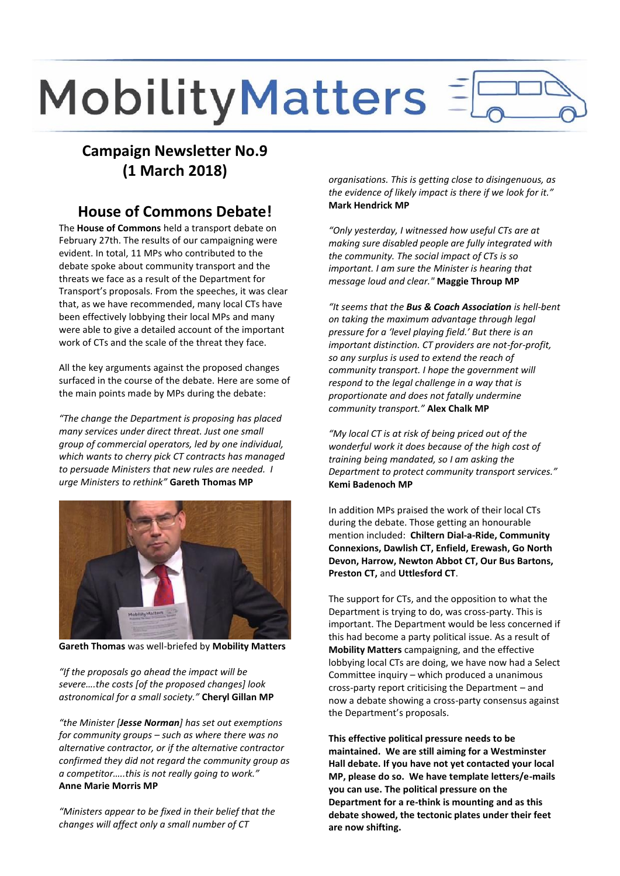# MobilityMatters

# **Campaign Newsletter No.9 (1 March 2018)**

## **House of Commons Debate!**

The **House of Commons** held a transport debate on February 27th. The results of our campaigning were evident. In total, 11 MPs who contributed to the debate spoke about community transport and the threats we face as a result of the Department for Transport's proposals. From the speeches, it was clear that, as we have recommended, many local CTs have been effectively lobbying their local MPs and many were able to give a detailed account of the important work of CTs and the scale of the threat they face.

All the key arguments against the proposed changes surfaced in the course of the debate. Here are some of the main points made by MPs during the debate:

*"The change the Department is proposing has placed many services under direct threat. Just one small group of commercial operators, led by one individual, which wants to cherry pick CT contracts has managed to persuade Ministers that new rules are needed. I urge Ministers to rethink"* **Gareth Thomas MP**



**Gareth Thomas** was well-briefed by **Mobility Matters**

*"If the proposals go ahead the impact will be severe….the costs [of the proposed changes] look astronomical for a small society."* **Cheryl Gillan MP**

*"the Minister [Jesse Norman] has set out exemptions for community groups – such as where there was no alternative contractor, or if the alternative contractor confirmed they did not regard the community group as a competitor…..this is not really going to work."* **Anne Marie Morris MP**

*"Ministers appear to be fixed in their belief that the changes will affect only a small number of CT*

*organisations. This is getting close to disingenuous, as the evidence of likely impact is there if we look for it."* **Mark Hendrick MP**

*"Only yesterday, I witnessed how useful CTs are at making sure disabled people are fully integrated with the community. The social impact of CTs is so important. I am sure the Minister is hearing that message loud and clear."* **Maggie Throup MP**

*"It seems that the Bus & Coach Association is hell-bent on taking the maximum advantage through legal pressure for a 'level playing field.' But there is an important distinction. CT providers are not-for-profit, so any surplus is used to extend the reach of community transport. I hope the government will respond to the legal challenge in a way that is proportionate and does not fatally undermine community transport."* **Alex Chalk MP**

*"My local CT is at risk of being priced out of the wonderful work it does because of the high cost of training being mandated, so I am asking the Department to protect community transport services."* **Kemi Badenoch MP**

In addition MPs praised the work of their local CTs during the debate. Those getting an honourable mention included: **Chiltern Dial-a-Ride, Community Connexions, Dawlish CT, Enfield, Erewash, Go North Devon, Harrow, Newton Abbot CT, Our Bus Bartons, Preston CT,** and **Uttlesford CT**.

The support for CTs, and the opposition to what the Department is trying to do, was cross-party. This is important. The Department would be less concerned if this had become a party political issue. As a result of **Mobility Matters** campaigning, and the effective lobbying local CTs are doing, we have now had a Select Committee inquiry – which produced a unanimous cross-party report criticising the Department – and now a debate showing a cross-party consensus against the Department's proposals.

**This effective political pressure needs to be maintained. We are still aiming for a Westminster Hall debate. If you have not yet contacted your local MP, please do so. We have template letters/e-mails you can use. The political pressure on the Department for a re-think is mounting and as this debate showed, the tectonic plates under their feet are now shifting.**